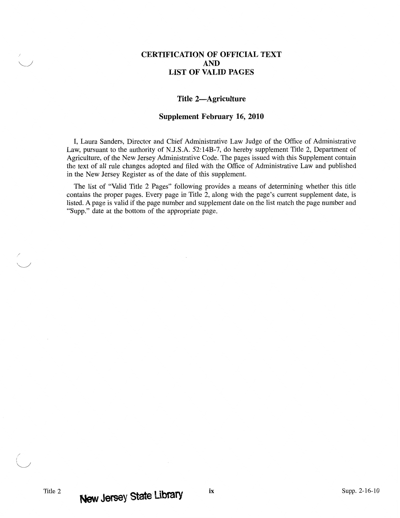## **CERTIFICATION OF OFFICIAL TEXT AND LIST OF VALID PAGES**

## **Title 2-Agriculture**

## **Supplement February 16, 2010**

I, Laura Sanders, Director and Chief Administrative Law Judge of the Office of Administrative Law, pursuant to the authority of N.J.S.A. 52:14B-7, do hereby supplement Title 2, Department of Agriculture, of the New Jersey Administrative Code. The pages issued with this Supplement contain the text of all rule changes adopted and filed with the Office of Administrative Law and published in the New Jersey Register as of the date of this supplement.

The list of "Valid Title 2 Pages" following provides a means of determining whether this title contains the proper pages. Every page in Title 2, along with the page's current supplement date, is listed. A page is valid if the page number and supplement date on the list match the page number and "Supp." date at the bottom of the appropriate page.

/ i  $\langle$  )  $\rangle$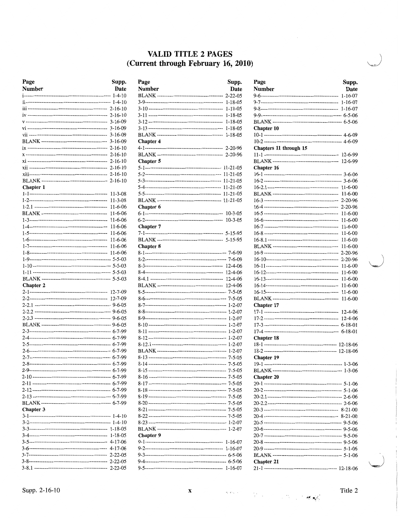## VALID TITLE 2 PAGES (Current through February 16, 2010)

| Page             | Supp.         |
|------------------|---------------|
| <b>Number</b>    | Date          |
|                  | $1 - 4 - 10$  |
|                  |               |
|                  |               |
|                  |               |
|                  |               |
|                  |               |
|                  |               |
|                  |               |
|                  |               |
|                  |               |
|                  |               |
|                  |               |
|                  |               |
|                  | $2 - 16 - 10$ |
| <b>Chapter 1</b> |               |
|                  | $11 - 3 - 08$ |
|                  | $11 - 3 - 08$ |
|                  | 11-6-06       |
|                  | $11 - 6 - 06$ |
|                  | $11 - 6 - 06$ |
|                  | $11 - 6 - 06$ |
|                  | $11 - 6 - 06$ |
|                  | $11 - 6 - 06$ |
|                  | $11-6-06$     |
|                  | $11 - 6 - 06$ |
|                  |               |
|                  |               |
|                  |               |
|                  |               |
| <b>Chapter 2</b> |               |
|                  |               |
|                  |               |
|                  |               |
|                  |               |
|                  |               |
|                  |               |
|                  |               |
|                  |               |
|                  |               |
|                  |               |
|                  |               |
|                  |               |
|                  |               |
|                  |               |
|                  |               |
|                  |               |
|                  |               |
| Chapter 3        |               |
|                  |               |
|                  |               |
|                  |               |
|                  |               |
|                  |               |
|                  |               |
|                  |               |
|                  |               |
|                  | $2 - 22 - 05$ |

| Page             | Supp.         |
|------------------|---------------|
| Number           | Date          |
|                  | $2 - 22 - 05$ |
|                  | 1-18-05       |
|                  | $1 - 18 - 05$ |
|                  | $1 - 18 - 05$ |
|                  | 1-18-05       |
|                  | $1 - 18 - 05$ |
|                  | $1 - 18 - 05$ |
| Chapter 4        |               |
|                  |               |
|                  |               |
| Chapter 5        |               |
|                  |               |
|                  |               |
|                  |               |
|                  |               |
|                  |               |
|                  |               |
| <b>Chapter 6</b> |               |
|                  | $10 - 3 - 05$ |
|                  | $10 - 3 - 05$ |
| Chapter 7        |               |
|                  |               |
|                  |               |
| <b>Chapter 8</b> |               |
|                  |               |
|                  |               |
|                  |               |
|                  |               |
|                  | $12 - 4 - 06$ |
|                  |               |
|                  |               |
|                  |               |
|                  |               |
|                  |               |
|                  |               |
|                  |               |
|                  |               |
|                  |               |
|                  |               |
|                  |               |
|                  |               |
|                  |               |
|                  |               |
|                  |               |
|                  |               |
|                  |               |
|                  |               |
|                  |               |
|                  |               |
|                  |               |
|                  |               |
|                  |               |
|                  |               |
| Chapter 9        |               |
|                  | 1-16-07       |
|                  | $1 - 16 - 07$ |
|                  |               |
|                  |               |
|                  |               |
|                  |               |

| Page<br>Number         | Supp.<br>Date              |
|------------------------|----------------------------|
|                        | $1 - 16 - 07$              |
|                        | 1-16-07                    |
|                        |                            |
|                        |                            |
|                        |                            |
|                        |                            |
| Chapter 10             |                            |
|                        |                            |
| Chapters 11 through 15 |                            |
|                        |                            |
|                        | 12-6-99                    |
|                        |                            |
| Chapter 16             |                            |
|                        |                            |
|                        |                            |
|                        | $11 - 6 - 00$<br>$11-6-00$ |
|                        |                            |
|                        | $2 - 20 - 96$              |
|                        | $11 - 6 - 00$              |
|                        | $11 - 6 - 00$              |
|                        | 11-6-00                    |
|                        | $11-6-00$                  |
|                        | $11 - 6 - 00$              |
|                        | $11 - 6 - 00$              |
|                        | $2 - 20 - 96$              |
|                        | $2 - 20 - 96$              |
|                        | 11-6-00                    |
|                        | 11-6-00                    |
|                        | 11-6-00                    |
|                        | $11 - 6 - 00$              |
|                        | $11 - 6 - 00$              |
|                        | $11 - 6 - 00$              |
| Chapter 17             |                            |
|                        | 12-4-06                    |
|                        | $12 - 4 - 06$              |
|                        | $6 - 18 - 01$              |
|                        | $6 - 18 - 01$              |
| Chapter 18             |                            |
|                        |                            |
|                        |                            |
| <b>Chapter 19</b>      |                            |
|                        |                            |
|                        |                            |
| <b>Chapter 20</b>      |                            |
|                        |                            |
|                        |                            |
|                        |                            |
|                        |                            |
|                        |                            |
|                        |                            |
|                        |                            |
|                        |                            |
|                        |                            |
|                        |                            |
|                        |                            |
| Chapter 21             |                            |
|                        |                            |

 $\label{eq:R} \mathcal{L}_{\mathcal{M}}(\mathcal{L}_{\mathcal{M}}) = \mathcal{L}_{\mathcal{M}}(\mathcal{L}_{\mathcal{M}}) = \mathcal{L}_{\mathcal{M}}(\mathcal{L}_{\mathcal{M}}) = \mathcal{L}_{\mathcal{M}}(\mathcal{L}_{\mathcal{M}})$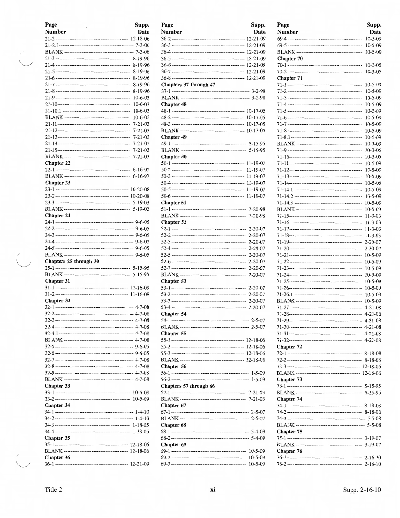| Page<br>ï                                                   | Supp.         |
|-------------------------------------------------------------|---------------|
| Number                                                      | Date          |
|                                                             |               |
|                                                             |               |
|                                                             |               |
|                                                             |               |
|                                                             |               |
|                                                             |               |
|                                                             | 8-19-96       |
|                                                             | 8-19-96       |
|                                                             | 8-19-96       |
|                                                             | $10 - 6 - 03$ |
|                                                             | $10 - 6 - 03$ |
|                                                             | $10 - 6 - 03$ |
|                                                             | $10-6-03$     |
|                                                             | $7 - 21 - 03$ |
|                                                             | $7 - 21 - 03$ |
|                                                             | $7 - 21 - 03$ |
|                                                             | $7 - 21 - 03$ |
|                                                             | $7 - 21 - 03$ |
|                                                             | $7 - 21 - 03$ |
| <b>Chapter 22</b>                                           |               |
|                                                             |               |
|                                                             |               |
| Chapter 23                                                  |               |
|                                                             |               |
|                                                             |               |
|                                                             |               |
|                                                             |               |
| Chapter 24                                                  |               |
|                                                             |               |
|                                                             |               |
|                                                             |               |
|                                                             |               |
|                                                             |               |
| Chapters 25 through 30                                      |               |
|                                                             |               |
|                                                             |               |
| Chapter 31                                                  |               |
|                                                             |               |
|                                                             |               |
| Chapter 32                                                  |               |
|                                                             |               |
|                                                             |               |
|                                                             |               |
|                                                             |               |
|                                                             |               |
|                                                             |               |
|                                                             |               |
|                                                             |               |
|                                                             |               |
|                                                             |               |
|                                                             |               |
|                                                             |               |
| Chapter 33                                                  |               |
|                                                             |               |
|                                                             | $10-5-09$     |
| <b>Chapter 34</b>                                           |               |
|                                                             |               |
|                                                             |               |
|                                                             |               |
|                                                             |               |
| <b>Chapter 35</b>                                           |               |
|                                                             |               |
|                                                             |               |
| <b>Chapter 36</b>                                           |               |
| -------------------------------- 12-21-09<br>36-1 --------- |               |

 $\bigcup$ 

 $\overset{'}{\bigcup}$ 

| Page                   | Supp.          |
|------------------------|----------------|
| Number                 | Date           |
|                        | 12-21-09       |
|                        | 12-21-09       |
|                        |                |
|                        |                |
|                        |                |
|                        |                |
|                        | 12-21-09       |
| Chapters 37 through 47 |                |
|                        |                |
|                        |                |
| <b>Chapter 48</b>      |                |
|                        |                |
|                        | $10 - 17 - 05$ |
|                        |                |
|                        |                |
| <b>Chapter 49</b>      |                |
|                        |                |
| Chapter 50             |                |
|                        |                |
|                        | 11-19-07       |
|                        |                |
|                        | 11-19-07       |
|                        | 11-19-07       |
|                        | 11-19-07       |
| Chapter 51             |                |
|                        | 7-20-98        |
|                        | 7-20-98        |
| Chapter 52             |                |
|                        | $2 - 20 - 07$  |
|                        | $2 - 20 - 07$  |
|                        | $2 - 20 - 07$  |
|                        | $2 - 20 - 07$  |
|                        | $2 - 20 - 07$  |
|                        | $2 - 20 - 07$  |
|                        | $2 - 20 - 07$  |
|                        | $2 - 20 - 07$  |
| Chapter 53             |                |
|                        | $2 - 20 - 07$  |
|                        | $2 - 20 - 07$  |
|                        | $2 - 20 - 07$  |
|                        | $2 - 20 - 07$  |
| Chapter 54             |                |
|                        |                |
|                        |                |
| <b>Chapter 55</b>      |                |
|                        |                |
|                        |                |
|                        |                |
| Chapter 56             |                |
|                        |                |
|                        |                |
| Chapters 57 through 66 |                |
|                        |                |
|                        |                |
| Chapter 67             |                |
|                        |                |
|                        |                |
| <b>Chapter 68</b>      |                |
|                        |                |
|                        |                |
| Chapter 69             |                |
|                        | $10 - 5 - 09$  |
|                        | $10-5-09$      |
|                        |                |

| Page          | Supp.                          |
|---------------|--------------------------------|
| <b>Number</b> | Date                           |
|               | $10 - 5 - 09$                  |
|               | $10 - 5 - 09$                  |
|               | $10 - 5 - 09$                  |
| Chapter 70    |                                |
|               | $10 - 3 - 05$                  |
|               | $10 - 3 - 05$                  |
| Chapter 71    |                                |
|               | 10-5-09                        |
|               | $10 - 5 - 09$                  |
|               | $10 - 5 - 09$                  |
|               | $10 - 5 - 09$                  |
|               | $10 - 5 - 09$<br>$10 - 5 - 09$ |
|               | $10 - 5 - 09$                  |
|               | $10 - 5 - 09$                  |
|               | $10 - 5 - 09$                  |
|               | $10 - 5 - 09$                  |
|               | $10 - 3 - 05$                  |
|               | $10 - 3 - 05$                  |
|               | 10-5-09                        |
|               | $10 - 5 - 09$                  |
|               | $10 - 5 - 09$                  |
|               | $10 - 5 - 09$                  |
|               | $10 - 5 - 09$                  |
|               | $10 - 5 - 09$                  |
|               | 10-5-09<br>$10 - 5 - 09$       |
|               | $11 - 3 - 03$                  |
|               | $11 - 3 - 03$                  |
|               | $11 - 3 - 03$                  |
|               | $11 - 3 - 03$                  |
|               | $2 - 20 - 07$                  |
|               | $2 - 20 - 07$                  |
|               | $10 - 5 - 09$                  |
|               | $10 - 5 - 09$                  |
|               | $10 - 5 - 09$                  |
|               | $10 - 5 - 09$                  |
|               | $10 - 5 - 09$                  |
|               | $10 - 5 - 09$<br>$10 - 5 - 09$ |
|               | $10 - 5 - 09$                  |
|               | $4 - 21 - 08$                  |
|               |                                |
|               |                                |
|               |                                |
|               |                                |
|               |                                |
| Chapter 72    |                                |
|               |                                |
|               |                                |
|               |                                |
| Chapter 73    |                                |
|               |                                |
|               |                                |
| Chapter 74    |                                |
|               |                                |
|               |                                |
|               |                                |
|               |                                |
| Chapter 75    |                                |
|               |                                |
|               |                                |
| Chapter 76    |                                |
|               |                                |

 $\begin{pmatrix} 1 & 1 \\ 1 & 1 \end{pmatrix}$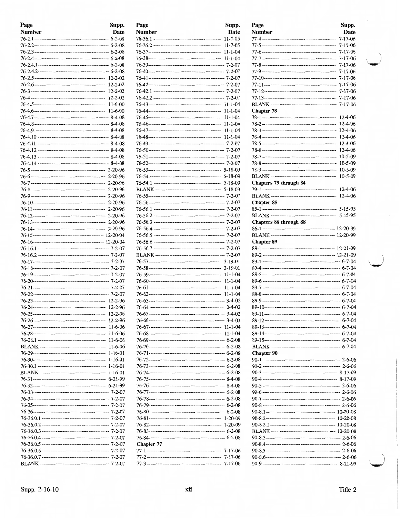| Page<br>Number | Supp.<br>Date | Page<br>Number                        |
|----------------|---------------|---------------------------------------|
|                |               | $76 - 36.1$ -------                   |
|                |               | $76 - 36.2$ -------                   |
|                |               | 76-37----------                       |
|                |               |                                       |
|                |               | 76-39----------                       |
|                |               | 76-40----------                       |
|                |               | $76 - 41$ ----------                  |
|                |               | 76-42----------                       |
|                |               | $76 - 42.1$ -------                   |
|                |               | 76-42.2 -------                       |
|                |               | $76 - 43 - \cdots$                    |
|                |               | 76-44----------                       |
|                |               | 76-45----------                       |
|                |               | 76-46----------                       |
|                |               | 76-47----------                       |
|                |               | 76-48----------                       |
|                |               | 76-49----------                       |
|                |               | $76 - 50$ ----------                  |
|                |               | $76 - 51$ -----------                 |
|                |               | 76-52----------                       |
|                |               | 76-53----------                       |
|                |               | 76-54----------                       |
|                |               | $76 - 54.1$ -------                   |
|                |               | <b>BLANK</b> ------                   |
|                |               | $76 - 55 - \dots$                     |
|                |               | 76-56----------                       |
|                |               | $76 - 56.1$ -------                   |
|                |               | $76 - 56.2$ -------                   |
|                |               | $76 - 56.3$ -------                   |
|                |               | 76-56.4 -------                       |
|                |               | $76 - 56.5$ -------                   |
|                |               | 76-56.6 -------                       |
|                |               | 76-56.7 -------                       |
|                |               | <b>BLANK</b> ------                   |
|                |               | $76 - 57$ ----------                  |
|                |               | 76-58----------                       |
|                |               | 76-59----------                       |
|                |               | $76 - 60$ ----------                  |
|                |               | $76 - 61$ ----------                  |
|                |               | $76 - 62 - \cdots$                    |
|                |               | $76 - 63 - \dots$                     |
|                |               | 76-64----------                       |
|                | 12-2-96       | 76-65----------                       |
|                |               | 76-66----------                       |
|                | $11-6-06$     | 76-67----------                       |
|                |               | 76-68----------                       |
|                |               | 76-69----------                       |
|                |               | 76-70---------                        |
|                |               | $76 - 71$ ----------                  |
|                |               | 76-72----------                       |
|                |               |                                       |
|                |               | 76-74----------                       |
|                |               | 76-75----------                       |
|                |               | 76-76---------                        |
|                |               | 76-77----------                       |
|                |               | 76-78----------                       |
|                |               | 76-79---------                        |
|                |               | 76-80---------                        |
|                |               | $76 - 81$ ---------                   |
|                |               | 76-82---------                        |
|                |               | 76-83----------                       |
|                |               | 76-84---------                        |
|                |               | <b>Chapter 77</b>                     |
|                |               | 77-1 ----------<br>$77-2$ ----------- |
|                |               | $77-3$ ----------                     |
|                |               |                                       |

| Page       | Supp.         |
|------------|---------------|
| Number     | Date          |
|            | $11 - 7 - 05$ |
|            |               |
|            |               |
|            |               |
|            |               |
|            |               |
|            |               |
|            |               |
|            |               |
|            |               |
|            |               |
|            |               |
|            |               |
|            |               |
|            |               |
|            |               |
|            |               |
|            |               |
|            |               |
|            |               |
|            |               |
|            |               |
|            |               |
|            |               |
|            |               |
|            |               |
|            |               |
|            |               |
|            |               |
|            |               |
|            |               |
|            |               |
|            |               |
|            |               |
|            |               |
|            |               |
|            |               |
|            |               |
|            |               |
|            |               |
|            |               |
|            |               |
|            | 11-1-04       |
|            |               |
|            |               |
|            |               |
|            |               |
|            |               |
|            |               |
|            |               |
|            |               |
|            |               |
|            |               |
|            |               |
|            |               |
|            |               |
|            |               |
| Chapter 77 |               |
|            |               |
|            |               |
|            |               |
|            |               |

| Page                   | Supp.                    |
|------------------------|--------------------------|
| <b>Number</b>          | Date                     |
|                        | $7 - 17 - 06$            |
|                        | 7-17-06                  |
|                        | 7-17-06                  |
|                        | $7 - 17 - 06$            |
|                        | $7 - 17 - 06$            |
|                        | $7 - 17 - 06$            |
|                        | $7 - 17 - 06$            |
|                        | 7-17-06<br>$7 - 17 - 06$ |
|                        | 7-17-06                  |
|                        | $7 - 17 - 06$            |
| <b>Chapter 78</b>      |                          |
|                        | 12-4-06                  |
|                        | 12-4-06                  |
|                        | 12-4-06                  |
|                        | 12-4-06                  |
|                        | 12-4-06                  |
|                        | 12-4-06                  |
|                        | 10-5-09                  |
|                        | $10 - 5 - 09$            |
|                        | $10 - 5 - 09$            |
|                        | $10-5-09$                |
| Chapters 79 through 84 | 12-4-06                  |
|                        | $12 - 4 - 06$            |
| <b>Chapter 85</b>      |                          |
|                        |                          |
|                        |                          |
| Chapters 86 through 88 |                          |
|                        |                          |
|                        |                          |
| <b>Chapter 89</b>      |                          |
|                        |                          |
|                        |                          |
|                        |                          |
|                        |                          |
|                        |                          |
|                        |                          |
|                        |                          |
|                        |                          |
|                        |                          |
|                        |                          |
|                        |                          |
|                        |                          |
|                        |                          |
|                        |                          |
|                        |                          |
| Chapter 90             |                          |
|                        |                          |
|                        |                          |
|                        |                          |
|                        |                          |
|                        |                          |
|                        |                          |
|                        |                          |
|                        |                          |
|                        |                          |
|                        |                          |
|                        |                          |
|                        |                          |
|                        |                          |
|                        |                          |
|                        |                          |
|                        |                          |
|                        |                          |